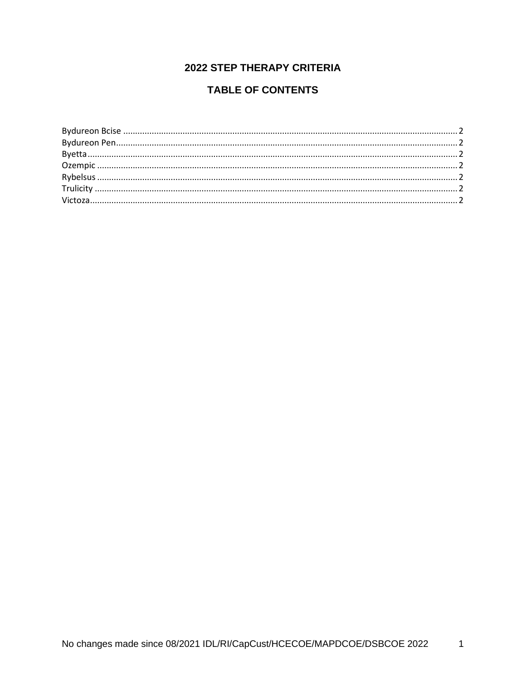## **2022 STEP THERAPY CRITERIA**

## **TABLE OF CONTENTS**